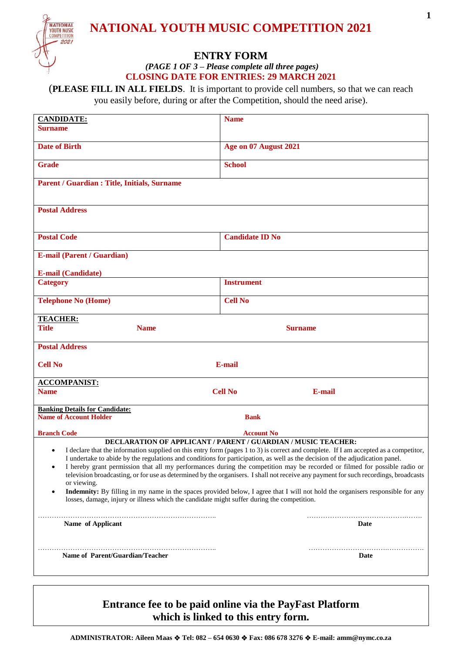

# **NATIONAL YOUTH MUSIC COMPETITION 2021**

## **ENTRY FORM**

*(PAGE 1 OF 3 – Please complete all three pages)* **CLOSING DATE FOR ENTRIES: 29 MARCH 2021**

(**PLEASE FILL IN ALL FIELDS**. It is important to provide cell numbers, so that we can reach you easily before, during or after the Competition, should the need arise).

| <b>CANDIDATE:</b>                                                                                                                                                                                                                                                                 | <b>Name</b>              |  |  |
|-----------------------------------------------------------------------------------------------------------------------------------------------------------------------------------------------------------------------------------------------------------------------------------|--------------------------|--|--|
| <b>Surname</b>                                                                                                                                                                                                                                                                    |                          |  |  |
|                                                                                                                                                                                                                                                                                   |                          |  |  |
| <b>Date of Birth</b>                                                                                                                                                                                                                                                              | Age on 07 August 2021    |  |  |
| <b>Grade</b>                                                                                                                                                                                                                                                                      | <b>School</b>            |  |  |
|                                                                                                                                                                                                                                                                                   |                          |  |  |
| Parent / Guardian : Title, Initials, Surname                                                                                                                                                                                                                                      |                          |  |  |
|                                                                                                                                                                                                                                                                                   |                          |  |  |
| <b>Postal Address</b>                                                                                                                                                                                                                                                             |                          |  |  |
|                                                                                                                                                                                                                                                                                   |                          |  |  |
|                                                                                                                                                                                                                                                                                   |                          |  |  |
| <b>Postal Code</b>                                                                                                                                                                                                                                                                | <b>Candidate ID No</b>   |  |  |
| <b>E-mail (Parent / Guardian)</b>                                                                                                                                                                                                                                                 |                          |  |  |
|                                                                                                                                                                                                                                                                                   |                          |  |  |
| <b>E-mail (Candidate)</b>                                                                                                                                                                                                                                                         |                          |  |  |
| <b>Category</b>                                                                                                                                                                                                                                                                   | <b>Instrument</b>        |  |  |
| <b>Telephone No (Home)</b>                                                                                                                                                                                                                                                        | <b>Cell No</b>           |  |  |
|                                                                                                                                                                                                                                                                                   |                          |  |  |
| <b>TEACHER:</b>                                                                                                                                                                                                                                                                   |                          |  |  |
| <b>Title</b><br><b>Name</b>                                                                                                                                                                                                                                                       | <b>Surname</b>           |  |  |
| <b>Postal Address</b>                                                                                                                                                                                                                                                             |                          |  |  |
|                                                                                                                                                                                                                                                                                   |                          |  |  |
| <b>Cell No</b>                                                                                                                                                                                                                                                                    | <b>E-mail</b>            |  |  |
|                                                                                                                                                                                                                                                                                   |                          |  |  |
| <b>ACCOMPANIST:</b><br><b>Name</b>                                                                                                                                                                                                                                                | <b>Cell No</b><br>E-mail |  |  |
|                                                                                                                                                                                                                                                                                   |                          |  |  |
| <b>Banking Details for Candidate:</b>                                                                                                                                                                                                                                             |                          |  |  |
| <b>Name of Account Holder</b><br><b>Bank</b>                                                                                                                                                                                                                                      |                          |  |  |
| <b>Branch Code</b>                                                                                                                                                                                                                                                                | <b>Account No</b>        |  |  |
| <b>DECLARATION OF APPLICANT / PARENT / GUARDIAN / MUSIC TEACHER:</b>                                                                                                                                                                                                              |                          |  |  |
| I declare that the information supplied on this entry form (pages 1 to 3) is correct and complete. If I am accepted as a competitor,<br>$\bullet$<br>I undertake to abide by the regulations and conditions for participation, as well as the decision of the adjudication panel. |                          |  |  |
| I hereby grant permission that all my performances during the competition may be recorded or filmed for possible radio or<br>٠                                                                                                                                                    |                          |  |  |
| television broadcasting, or for use as determined by the organisers. I shall not receive any payment for such recordings, broadcasts                                                                                                                                              |                          |  |  |
| or viewing.<br>Indemnity: By filling in my name in the spaces provided below, I agree that I will not hold the organisers responsible for any<br>٠                                                                                                                                |                          |  |  |
| losses, damage, injury or illness which the candidate might suffer during the competition.                                                                                                                                                                                        |                          |  |  |
|                                                                                                                                                                                                                                                                                   |                          |  |  |
| Name of Applicant                                                                                                                                                                                                                                                                 | Date                     |  |  |
|                                                                                                                                                                                                                                                                                   |                          |  |  |
|                                                                                                                                                                                                                                                                                   |                          |  |  |
| Name of Parent/Guardian/Teacher                                                                                                                                                                                                                                                   | <b>Date</b>              |  |  |
|                                                                                                                                                                                                                                                                                   |                          |  |  |
|                                                                                                                                                                                                                                                                                   |                          |  |  |

## **Entrance fee to be paid online via the PayFast Platform which is linked to this entry form.**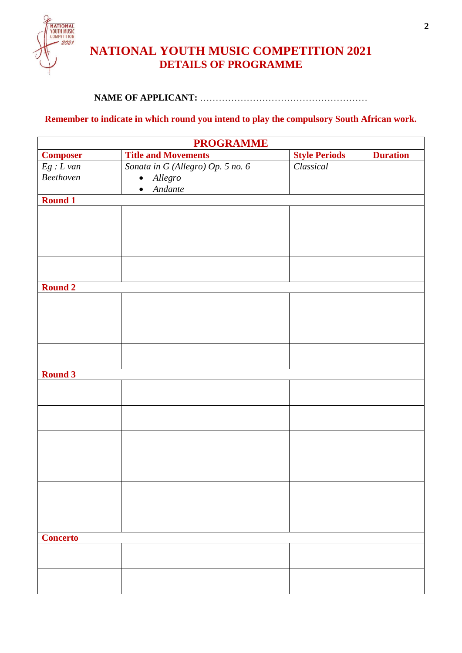

## **NATIONAL YOUTH MUSIC COMPETITION 2021 DETAILS OF PROGRAMME**

#### **NAME OF APPLICANT:** ………………………………………………

### **Remember to indicate in which round you intend to play the compulsory South African work.**

| <b>PROGRAMME</b>             |                                   |                      |                 |
|------------------------------|-----------------------------------|----------------------|-----------------|
| <b>Composer</b>              | <b>Title and Movements</b>        | <b>Style Periods</b> | <b>Duration</b> |
| $\mathit{Eg}: L\mathit{van}$ | Sonata in G (Allegro) Op. 5 no. 6 | Classical            |                 |
| Beethoven                    | · Allegro                         |                      |                 |
|                              | Andante<br>$\bullet$              |                      |                 |
| <b>Round 1</b>               |                                   |                      |                 |
|                              |                                   |                      |                 |
|                              |                                   |                      |                 |
|                              |                                   |                      |                 |
|                              |                                   |                      |                 |
|                              |                                   |                      |                 |
|                              |                                   |                      |                 |
| Round 2                      |                                   |                      |                 |
|                              |                                   |                      |                 |
|                              |                                   |                      |                 |
|                              |                                   |                      |                 |
|                              |                                   |                      |                 |
|                              |                                   |                      |                 |
|                              |                                   |                      |                 |
| <b>Round 3</b>               |                                   |                      |                 |
|                              |                                   |                      |                 |
|                              |                                   |                      |                 |
|                              |                                   |                      |                 |
|                              |                                   |                      |                 |
|                              |                                   |                      |                 |
|                              |                                   |                      |                 |
|                              |                                   |                      |                 |
|                              |                                   |                      |                 |
|                              |                                   |                      |                 |
|                              |                                   |                      |                 |
|                              |                                   |                      |                 |
|                              |                                   |                      |                 |
|                              |                                   |                      |                 |
| <b>Concerto</b>              |                                   |                      |                 |
|                              |                                   |                      |                 |
|                              |                                   |                      |                 |
|                              |                                   |                      |                 |
|                              |                                   |                      |                 |